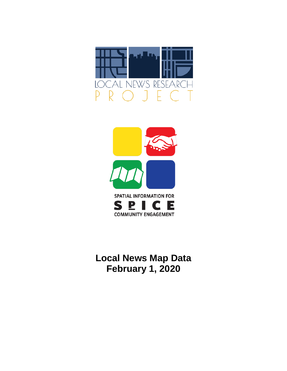



**Local News Map Data February 1, 2020**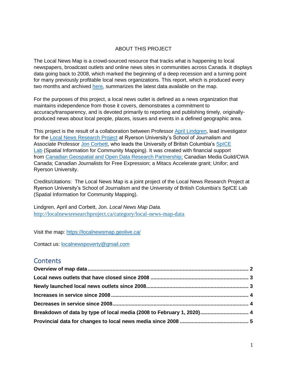## ABOUT THIS PROJECT

The Local News Map is a crowd-sourced resource that tracks what is happening to local newspapers, broadcast outlets and online news sites in communities across Canada. It displays data going back to 2008, which marked the beginning of a deep recession and a turning point for many previously profitable local news organizations. This report, which is produced every two months and archived [here,](http://localnewsresearchproject.ca/category/local-news-map-data) summarizes the latest data available on the map.

For the purposes of this project, a local news outlet is defined as a news organization that maintains independence from those it covers, demonstrates a commitment to accuracy/transparency, and is devoted primarily to reporting and publishing timely, originallyproduced news about local people, places, issues and events in a defined geographic area.

This project is the result of a collaboration between Professor [April Lindgren,](http://rsj.journalism.ryerson.ca/team/april-lindgren/) lead investigator for the [Local News Research Project](http://localnewsresearchproject.ca/) at Ryerson University's School of Journalism and Associate Professor [Jon Corbett,](http://joncorbett.com/JonCorbett/Home.html) who leads the University of British Columbia's [SpICE](http://spice.geolive.ca/) [Lab](http://spice.geolive.ca/) (Spatial Information for Community Mapping). It was created with financial support from [Canadian Geospatial and Open Data Research Partnership;](http://geothink.ca/) Canadian Media Guild/CWA Canada; Canadian Journalists for Free Expression; a Mitacs Accelerate grant; Unifor; and Ryerson University.

Credits/citations: The Local News Map is a joint project of the Local News Research Project at Ryerson University's School of Journalism and the University of British Columbia's SpICE Lab (Spatial Information for Community Mapping).

Lindgren, April and Corbett, Jon. *Local News Map Data.*  <http://localnewsresearchproject.ca/category/local-news-map-data>

Visit the map:<https://localnewsmap.geolive.ca/>

Contact us: [localnewspoverty@gmail.com](mailto:localnewspoverty@gmail.com)

# **Contents**

| Breakdown of data by type of local media (2008 to February 1, 2020) 4 |  |
|-----------------------------------------------------------------------|--|
|                                                                       |  |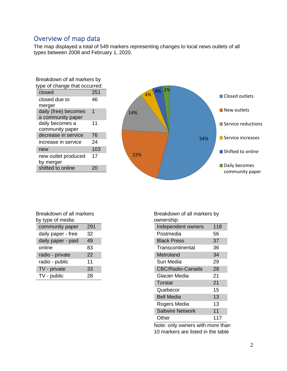# <span id="page-2-0"></span>Overview of map data

The map displayed a total of 549 markers representing changes to local news outlets of all types between 2008 and February 1, 2020.

| Breakdown of all markers by   |     |  |
|-------------------------------|-----|--|
| type of change that occurred: |     |  |
| closed                        | 251 |  |
| closed due to                 | 46  |  |
| merger                        |     |  |
| daily (free) becomes          | 1   |  |
| a community paper             |     |  |
| daily becomes a               | 11  |  |
| community paper               |     |  |
| decrease in service           | 76  |  |
| increase in service           | 24  |  |
| new                           | 103 |  |
| new outlet produced           | 17  |  |
| by merger                     |     |  |
| shifted to online             |     |  |



| Breakdown of all markers |     |  |  |
|--------------------------|-----|--|--|
| by type of media:        |     |  |  |
| community paper          | 291 |  |  |
| daily paper - free       | 32  |  |  |
| daily paper - paid       | 49  |  |  |
| online                   | 83  |  |  |
| radio - private          | 22  |  |  |
| radio - public           | 11  |  |  |
| TV - private             | 33  |  |  |
| TV - public              | 28  |  |  |

Breakdown of all markers by ownership:

| uwuunuumu.              |     |
|-------------------------|-----|
| Independent owners      | 118 |
| Postmedia               | 56  |
| <b>Black Press</b>      | 37  |
| Transcontinental        | 36  |
| Metroland               | 34  |
| Sun Media               | 29  |
| <b>CBC/Radio-Canada</b> | 28  |
| Glacier Media           | 21  |
| Torstar                 | 21  |
| Quebecor                | 15  |
| <b>Bell Media</b>       | 13  |
| Rogers Media            | 13  |
| <b>Saltwire Network</b> | 11  |
| Other                   | 117 |

Note: only owners with more than 10 markers are listed in the table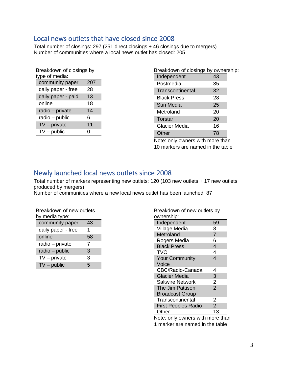# <span id="page-3-0"></span>Local news outlets that have closed since 2008

Total number of closings: 297 (251 direct closings + 46 closings due to mergers) Number of communities where a local news outlet has closed: 205

| Breakdown of closings by<br>type of media: |     |  |  |
|--------------------------------------------|-----|--|--|
| community paper                            | 207 |  |  |
| daily paper - free                         | 28  |  |  |
| daily paper - paid                         | 13  |  |  |
| online                                     | 18  |  |  |
| radio - private                            | 14  |  |  |
| radio - public                             | 6   |  |  |
| $TV$ – private                             | 11  |  |  |
| $TV$ – public                              | 0   |  |  |

| Breakdown of closings by ownership: |    |  |
|-------------------------------------|----|--|
| Independent                         | 43 |  |
| Postmedia                           | 35 |  |
| Transcontinental                    | 32 |  |
| Black Press                         | 28 |  |
| Sun Media                           | 25 |  |
| Metroland                           | 20 |  |
| Torstar                             | 20 |  |
| Glacier Media                       | 16 |  |
| Other                               | 78 |  |

Note: only owners with more than 10 markers are named in the table

# <span id="page-3-1"></span>Newly launched local news outlets since 2008

Total number of markers representing new outlets: 120 (103 new outlets + 17 new outlets produced by mergers)

Number of communities where a new local news outlet has been launched: 87

| Breakdown of new outlets<br>by media type: |    |  |  |
|--------------------------------------------|----|--|--|
| community paper                            | 43 |  |  |
| daily paper - free                         | 1  |  |  |
| online                                     | 58 |  |  |
| radio - private                            | 7  |  |  |
| radio - public                             | 3  |  |  |
| $TV$ – private                             | 3  |  |  |
| $TV$ – public                              | 5  |  |  |

| Breakdown of new outlets by<br>ownership: |                |
|-------------------------------------------|----------------|
| Independent                               | 59             |
| Village Media                             | 8              |
| Metroland                                 | $\overline{7}$ |
| Rogers Media                              | 6              |
| <b>Black Press</b>                        | $\overline{4}$ |
| TVO                                       | 4              |
| <b>Your Community</b>                     | 4              |
| Voice                                     |                |
| CBC/Radio-Canada                          | 4              |
| <b>Glacier Media</b>                      | 3              |
| <b>Saltwire Network</b>                   | $\overline{c}$ |
| The Jim Pattison                          | $\overline{2}$ |
| <b>Broadcast Group</b>                    |                |
| Transcontinental                          | 2              |
| <b>First Peoples Radio</b>                | $\overline{2}$ |
| Other                                     | 13             |
|                                           |                |

Note: only owners with more than 1 marker are named in the table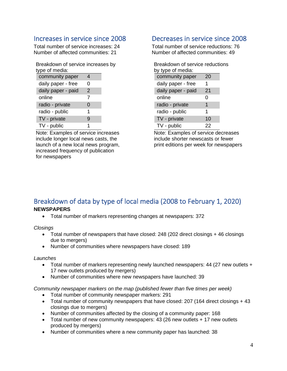# <span id="page-4-0"></span>Increases in service since 2008

Total number of service increases: 24 Number of affected communities: 21

| Breakdown of service increases by |  |
|-----------------------------------|--|
| type of media:                    |  |

| community paper    | 4             |  |
|--------------------|---------------|--|
| daily paper - free | O             |  |
| daily paper - paid | $\mathcal{P}$ |  |
| online             | 7             |  |
| radio - private    | 0             |  |
| radio - public     | 1             |  |
| TV - private       | 9             |  |
| TV - public        | 1             |  |

Note: Examples of service increases include longer local news casts, the launch of a new local news program, increased frequency of publication for newspapers

# <span id="page-4-1"></span>Decreases in service since 2008

Total number of service reductions: 76 Number of affected communities: 49

| Breakdown of service reductions |    |  |  |
|---------------------------------|----|--|--|
| by type of media:               |    |  |  |
| community paper                 | 20 |  |  |
| daily paper - free              | 1  |  |  |
| daily paper - paid              | 21 |  |  |
| online                          | 0  |  |  |
| radio - private                 | 1  |  |  |
| radio - public                  | 1  |  |  |
| TV - private                    | 10 |  |  |
| TV - public                     | 22 |  |  |

Note: Examples of service decreases include shorter newscasts or fewer print editions per week for newspapers

## <span id="page-4-2"></span>Breakdown of data by type of local media (2008 to February 1, 2020) **NEWSPAPERS**

• Total number of markers representing changes at newspapers: 372

*Closings*

- Total number of newspapers that have closed: 248 (202 direct closings + 46 closings due to mergers)
- Number of communities where newspapers have closed: 189

## *Launches*

- Total number of markers representing newly launched newspapers: 44 (27 new outlets + 17 new outlets produced by mergers)
- Number of communities where new newspapers have launched: 39

*Community newspaper markers on the map (published fewer than five times per week)* 

- Total number of community newspaper markers: 291
- Total number of community newspapers that have closed: 207 (164 direct closings + 43 closings due to mergers)
- Number of communities affected by the closing of a community paper: 168
- Total number of new community newspapers: 43 (26 new outlets + 17 new outlets produced by mergers)
- Number of communities where a new community paper has launched: 38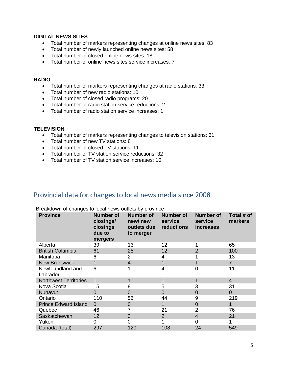## **DIGITAL NEWS SITES**

- Total number of markers representing changes at online news sites: 83
- Total number of newly launched online news sites: 58
- Total number of closed online news sites: 18
- Total number of online news sites service increases: 7

## **RADIO**

- Total number of markers representing changes at radio stations: 33
- Total number of new radio stations: 10
- Total number of closed radio programs: 20
- Total number of radio station service reductions: 2
- Total number of radio station service increases: 1

## **TELEVISION**

- Total number of markers representing changes to television stations: 61
- Total number of new TV stations: 8
- Total number of closed TV stations: 11
- Total number of TV station service reductions: 32
- Total number of TV station service increases: 10

# <span id="page-5-0"></span>Provincial data for changes to local news media since 2008

| <b>Province</b>              | <b>Number of</b><br>closings/<br>closings<br>due to<br>mergers | <b>Number of</b><br>new/new<br>outlets due<br>to merger | <b>Number of</b><br>service<br>reductions | <b>Number of</b><br>service<br><i>increases</i> | Total # of<br>markers |
|------------------------------|----------------------------------------------------------------|---------------------------------------------------------|-------------------------------------------|-------------------------------------------------|-----------------------|
| Alberta                      | 39                                                             | 13                                                      | 12                                        |                                                 | 65                    |
| <b>British Columbia</b>      | 61                                                             | 25                                                      | 12                                        | $\overline{2}$                                  | 100                   |
| Manitoba                     | 6                                                              | 2                                                       |                                           |                                                 | 13                    |
| <b>New Brunswick</b>         |                                                                | $\overline{4}$                                          |                                           | 1                                               | $\overline{7}$        |
| Newfoundland and<br>Labrador | 6                                                              |                                                         | 4                                         | 0                                               | 11                    |
| <b>Northwest Territories</b> | $\mathbf{1}$                                                   | 1                                                       |                                           | 1                                               | $\overline{4}$        |
| Nova Scotia                  | 15                                                             | 8                                                       | 5                                         | 3                                               | 31                    |
| Nunavut                      | $\Omega$                                                       | 0                                                       | $\Omega$                                  | $\overline{0}$                                  | $\overline{0}$        |
| Ontario                      | 110                                                            | 56                                                      | 44                                        | 9                                               | 219                   |
| <b>Prince Edward Island</b>  | $\Omega$                                                       | 0                                                       |                                           | $\overline{0}$                                  | 1                     |
| Quebec                       | 46                                                             |                                                         | 21                                        | $\overline{2}$                                  | 76                    |
| Saskatchewan                 | 12                                                             | 3                                                       | 2                                         | $\overline{4}$                                  | 21                    |
| Yukon                        | 0                                                              | 0                                                       |                                           | 0                                               |                       |
| Canada (total)               | 297                                                            | 120                                                     | 108                                       | 24                                              | 549                   |

Breakdown of changes to local news outlets by province